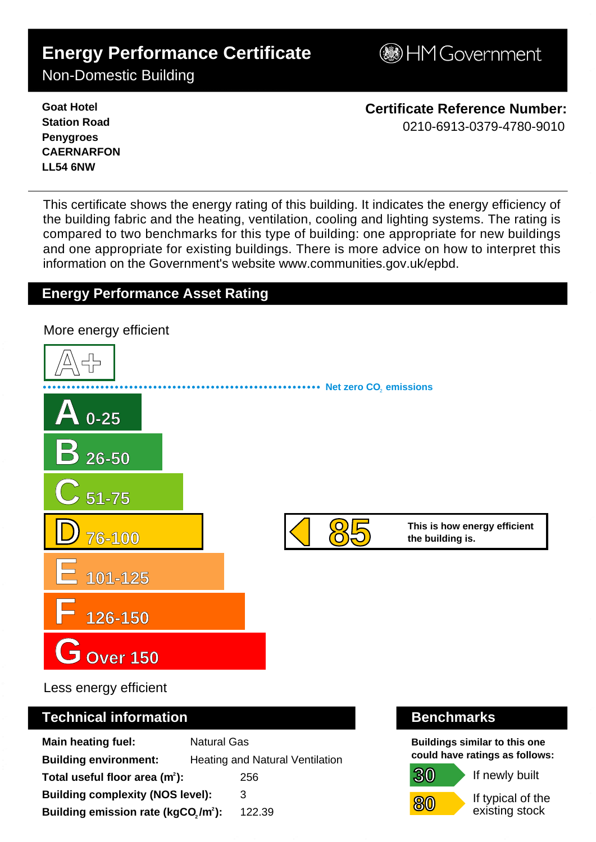# **Energy Performance Certificate**

**BHM Government** 

Non-Domestic Building

**Goat Hotel Station Road Penygroes CAERNARFON LL54 6NW**

**Certificate Reference Number:** 0210-6913-0379-4780-9010

This certificate shows the energy rating of this building. It indicates the energy efficiency of the building fabric and the heating, ventilation, cooling and lighting systems. The rating is compared to two benchmarks for this type of building: one appropriate for new buildings and one appropriate for existing buildings. There is more advice on how to interpret this information on the Government's websit[e www.communities.gov.uk/epbd.](http://www.communities.gov.uk/epbd)

## **Energy Performance Asset Rating**



Less energy efficient

### **Technical information Benchmarks**

| <b>Main heating fuel:</b>                                    | <b>Natural Gas</b>              |        |
|--------------------------------------------------------------|---------------------------------|--------|
| <b>Building environment:</b>                                 | Heating and Natural Ventilation |        |
| Total useful floor area (m <sup>2</sup> ):                   |                                 | 256    |
| <b>Building complexity (NOS level):</b>                      |                                 | 3      |
| Building emission rate (kgCO <sub>2</sub> /m <sup>2</sup> ): |                                 | 122.39 |

**30**

**80**

**Buildings similar to this one could have ratings as follows:**

If newly built

If typical of the existing stock